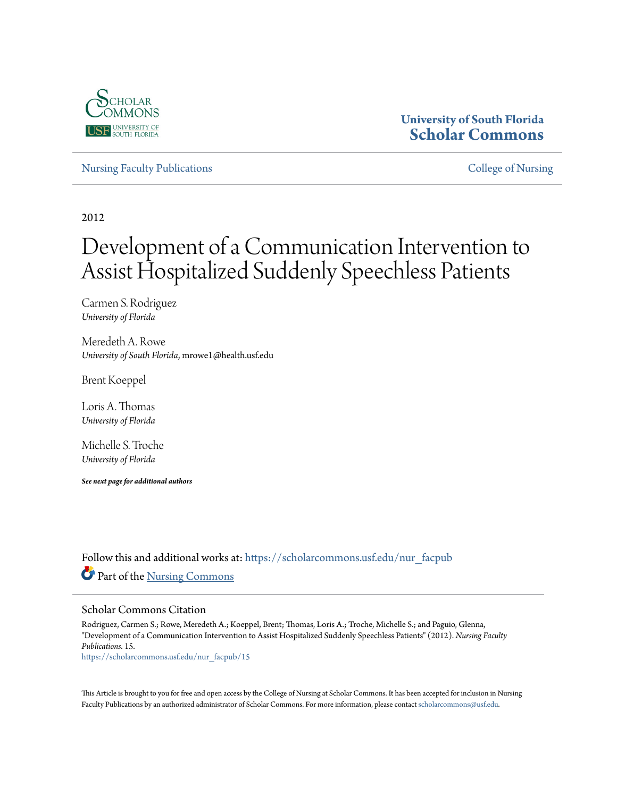

## **University of South Florida [Scholar Commons](https://scholarcommons.usf.edu?utm_source=scholarcommons.usf.edu%2Fnur_facpub%2F15&utm_medium=PDF&utm_campaign=PDFCoverPages)**

[Nursing Faculty Publications](https://scholarcommons.usf.edu/nur_facpub?utm_source=scholarcommons.usf.edu%2Fnur_facpub%2F15&utm_medium=PDF&utm_campaign=PDFCoverPages) **[College of Nursing](https://scholarcommons.usf.edu/nur?utm_source=scholarcommons.usf.edu%2Fnur_facpub%2F15&utm_medium=PDF&utm_campaign=PDFCoverPages)** 

2012

# Development of a Communication Intervention to Assist Hospitalized Suddenly Speechless Patients

Carmen S. Rodriguez *University of Florida*

Meredeth A. Rowe *University of South Florida*, mrowe1@health.usf.edu

Brent Koeppel

Loris A. Thomas *University of Florida*

Michelle S. Troche *University of Florida*

*See next page for additional authors*

Follow this and additional works at: [https://scholarcommons.usf.edu/nur\\_facpub](https://scholarcommons.usf.edu/nur_facpub?utm_source=scholarcommons.usf.edu%2Fnur_facpub%2F15&utm_medium=PDF&utm_campaign=PDFCoverPages) Part of the [Nursing Commons](http://network.bepress.com/hgg/discipline/718?utm_source=scholarcommons.usf.edu%2Fnur_facpub%2F15&utm_medium=PDF&utm_campaign=PDFCoverPages)

#### Scholar Commons Citation

Rodriguez, Carmen S.; Rowe, Meredeth A.; Koeppel, Brent; Thomas, Loris A.; Troche, Michelle S.; and Paguio, Glenna, "Development of a Communication Intervention to Assist Hospitalized Suddenly Speechless Patients" (2012). *Nursing Faculty Publications*. 15.

[https://scholarcommons.usf.edu/nur\\_facpub/15](https://scholarcommons.usf.edu/nur_facpub/15?utm_source=scholarcommons.usf.edu%2Fnur_facpub%2F15&utm_medium=PDF&utm_campaign=PDFCoverPages)

This Article is brought to you for free and open access by the College of Nursing at Scholar Commons. It has been accepted for inclusion in Nursing Faculty Publications by an authorized administrator of Scholar Commons. For more information, please contact [scholarcommons@usf.edu.](mailto:scholarcommons@usf.edu)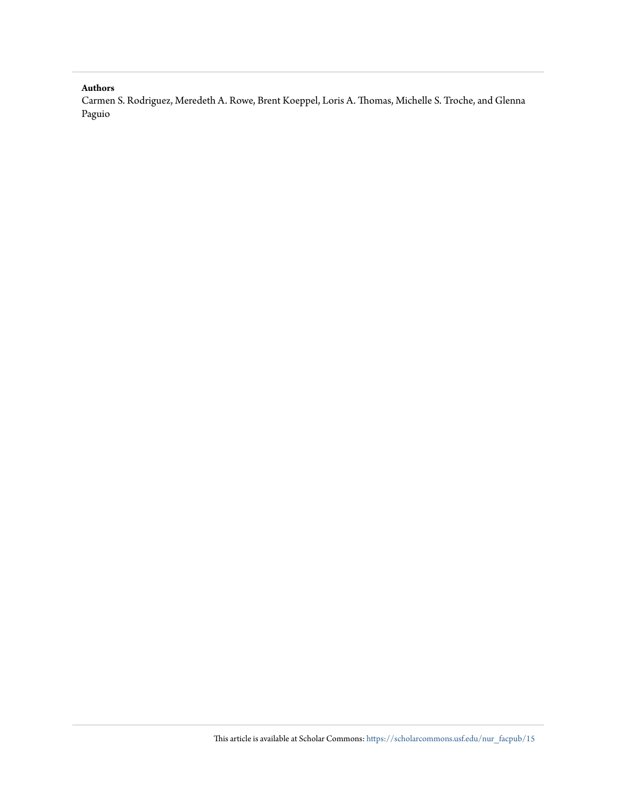#### **Authors**

Carmen S. Rodriguez, Meredeth A. Rowe, Brent Koeppel, Loris A. Thomas, Michelle S. Troche, and Glenna Paguio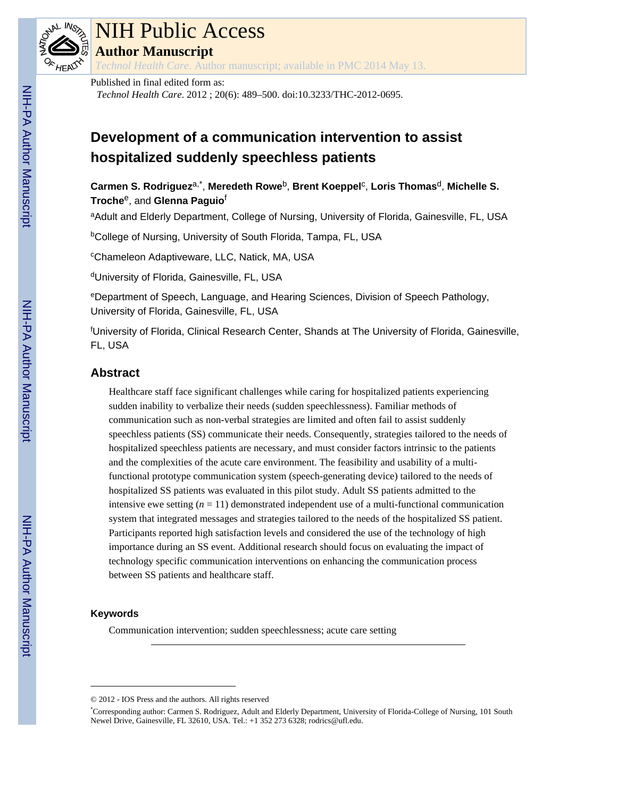

# NIH Public Access

**Author Manuscript**

*Technol Health Care*. Author manuscript; available in PMC 2014 May 13.

#### Published in final edited form as:

*Technol Health Care*. 2012 ; 20(6): 489–500. doi:10.3233/THC-2012-0695.

## **Development of a communication intervention to assist hospitalized suddenly speechless patients**

## **Carmen S. Rodriguez**a,\* , **Meredeth Rowe**b, **Brent Koeppel**<sup>c</sup> , **Loris Thomas**d, **Michelle S. Troche**e, and **Glenna Paguio**<sup>f</sup>

aAdult and Elderly Department, College of Nursing, University of Florida, Gainesville, FL, USA

<sup>b</sup>College of Nursing, University of South Florida, Tampa, FL, USA

<sup>c</sup>Chameleon Adaptiveware, LLC, Natick, MA, USA

dUniversity of Florida, Gainesville, FL, USA

<sup>e</sup>Department of Speech, Language, and Hearing Sciences, Division of Speech Pathology, University of Florida, Gainesville, FL, USA

<sup>f</sup>University of Florida, Clinical Research Center, Shands at The University of Florida, Gainesville, FL, USA

## **Abstract**

Healthcare staff face significant challenges while caring for hospitalized patients experiencing sudden inability to verbalize their needs (sudden speechlessness). Familiar methods of communication such as non-verbal strategies are limited and often fail to assist suddenly speechless patients (SS) communicate their needs. Consequently, strategies tailored to the needs of hospitalized speechless patients are necessary, and must consider factors intrinsic to the patients and the complexities of the acute care environment. The feasibility and usability of a multifunctional prototype communication system (speech-generating device) tailored to the needs of hospitalized SS patients was evaluated in this pilot study. Adult SS patients admitted to the intensive ewe setting  $(n = 11)$  demonstrated independent use of a multi-functional communication system that integrated messages and strategies tailored to the needs of the hospitalized SS patient. Participants reported high satisfaction levels and considered the use of the technology of high importance during an SS event. Additional research should focus on evaluating the impact of technology specific communication interventions on enhancing the communication process between SS patients and healthcare staff.

#### **Keywords**

Communication intervention; sudden speechlessness; acute care setting

<sup>© 2012 -</sup> IOS Press and the authors. All rights reserved

<sup>\*</sup>Corresponding author: Carmen S. Rodriguez, Adult and Elderly Department, University of Florida-College of Nursing, 101 South Newel Drive, Gainesville, FL 32610, USA. Tel.: +1 352 273 6328; rodrics@ufl.edu.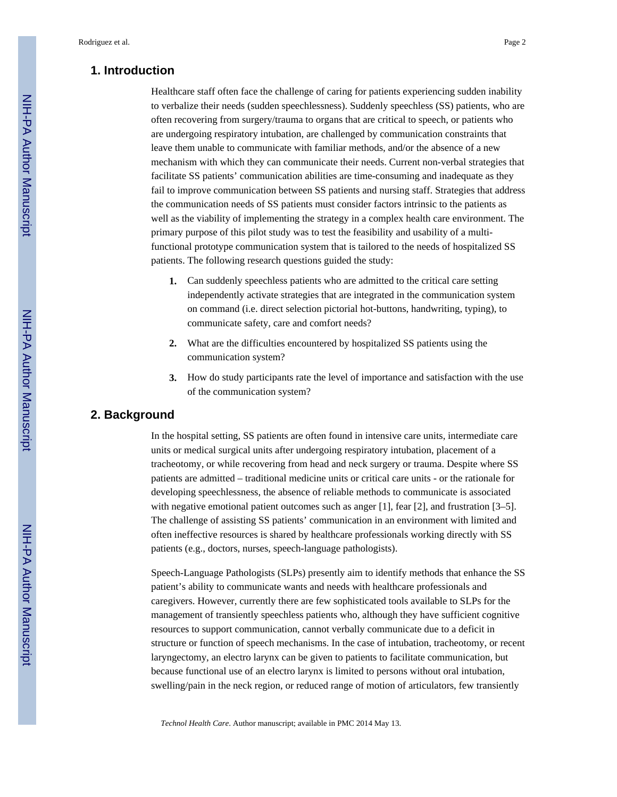#### **1. Introduction**

Healthcare staff often face the challenge of caring for patients experiencing sudden inability to verbalize their needs (sudden speechlessness). Suddenly speechless (SS) patients, who are often recovering from surgery/trauma to organs that are critical to speech, or patients who are undergoing respiratory intubation, are challenged by communication constraints that leave them unable to communicate with familiar methods, and/or the absence of a new mechanism with which they can communicate their needs. Current non-verbal strategies that facilitate SS patients' communication abilities are time-consuming and inadequate as they fail to improve communication between SS patients and nursing staff. Strategies that address the communication needs of SS patients must consider factors intrinsic to the patients as well as the viability of implementing the strategy in a complex health care environment. The primary purpose of this pilot study was to test the feasibility and usability of a multifunctional prototype communication system that is tailored to the needs of hospitalized SS patients. The following research questions guided the study:

- **1.** Can suddenly speechless patients who are admitted to the critical care setting independently activate strategies that are integrated in the communication system on command (i.e. direct selection pictorial hot-buttons, handwriting, typing), to communicate safety, care and comfort needs?
- **2.** What are the difficulties encountered by hospitalized SS patients using the communication system?
- **3.** How do study participants rate the level of importance and satisfaction with the use of the communication system?

### **2. Background**

In the hospital setting, SS patients are often found in intensive care units, intermediate care units or medical surgical units after undergoing respiratory intubation, placement of a tracheotomy, or while recovering from head and neck surgery or trauma. Despite where SS patients are admitted – traditional medicine units or critical care units - or the rationale for developing speechlessness, the absence of reliable methods to communicate is associated with negative emotional patient outcomes such as anger [1], fear [2], and frustration [3–5]. The challenge of assisting SS patients' communication in an environment with limited and often ineffective resources is shared by healthcare professionals working directly with SS patients (e.g., doctors, nurses, speech-language pathologists).

Speech-Language Pathologists (SLPs) presently aim to identify methods that enhance the SS patient's ability to communicate wants and needs with healthcare professionals and caregivers. However, currently there are few sophisticated tools available to SLPs for the management of transiently speechless patients who, although they have sufficient cognitive resources to support communication, cannot verbally communicate due to a deficit in structure or function of speech mechanisms. In the case of intubation, tracheotomy, or recent laryngectomy, an electro larynx can be given to patients to facilitate communication, but because functional use of an electro larynx is limited to persons without oral intubation, swelling/pain in the neck region, or reduced range of motion of articulators, few transiently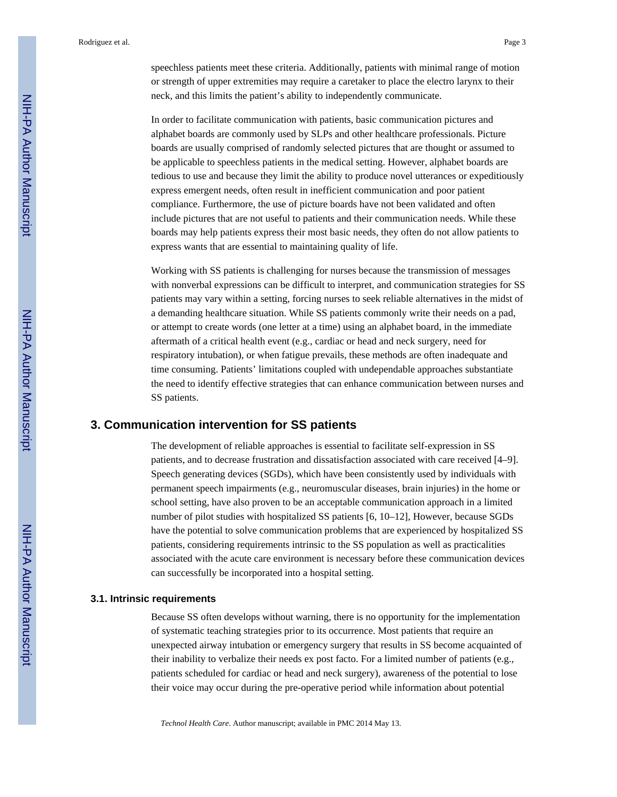speechless patients meet these criteria. Additionally, patients with minimal range of motion or strength of upper extremities may require a caretaker to place the electro larynx to their neck, and this limits the patient's ability to independently communicate.

In order to facilitate communication with patients, basic communication pictures and alphabet boards are commonly used by SLPs and other healthcare professionals. Picture boards are usually comprised of randomly selected pictures that are thought or assumed to be applicable to speechless patients in the medical setting. However, alphabet boards are tedious to use and because they limit the ability to produce novel utterances or expeditiously express emergent needs, often result in inefficient communication and poor patient compliance. Furthermore, the use of picture boards have not been validated and often include pictures that are not useful to patients and their communication needs. While these boards may help patients express their most basic needs, they often do not allow patients to express wants that are essential to maintaining quality of life.

Working with SS patients is challenging for nurses because the transmission of messages with nonverbal expressions can be difficult to interpret, and communication strategies for SS patients may vary within a setting, forcing nurses to seek reliable alternatives in the midst of a demanding healthcare situation. While SS patients commonly write their needs on a pad, or attempt to create words (one letter at a time) using an alphabet board, in the immediate aftermath of a critical health event (e.g., cardiac or head and neck surgery, need for respiratory intubation), or when fatigue prevails, these methods are often inadequate and time consuming. Patients' limitations coupled with undependable approaches substantiate the need to identify effective strategies that can enhance communication between nurses and SS patients.

#### **3. Communication intervention for SS patients**

The development of reliable approaches is essential to facilitate self-expression in SS patients, and to decrease frustration and dissatisfaction associated with care received [4–9]. Speech generating devices (SGDs), which have been consistently used by individuals with permanent speech impairments (e.g., neuromuscular diseases, brain injuries) in the home or school setting, have also proven to be an acceptable communication approach in a limited number of pilot studies with hospitalized SS patients [6, 10–12], However, because SGDs have the potential to solve communication problems that are experienced by hospitalized SS patients, considering requirements intrinsic to the SS population as well as practicalities associated with the acute care environment is necessary before these communication devices can successfully be incorporated into a hospital setting.

#### **3.1. Intrinsic requirements**

Because SS often develops without warning, there is no opportunity for the implementation of systematic teaching strategies prior to its occurrence. Most patients that require an unexpected airway intubation or emergency surgery that results in SS become acquainted of their inability to verbalize their needs ex post facto. For a limited number of patients (e.g., patients scheduled for cardiac or head and neck surgery), awareness of the potential to lose their voice may occur during the pre-operative period while information about potential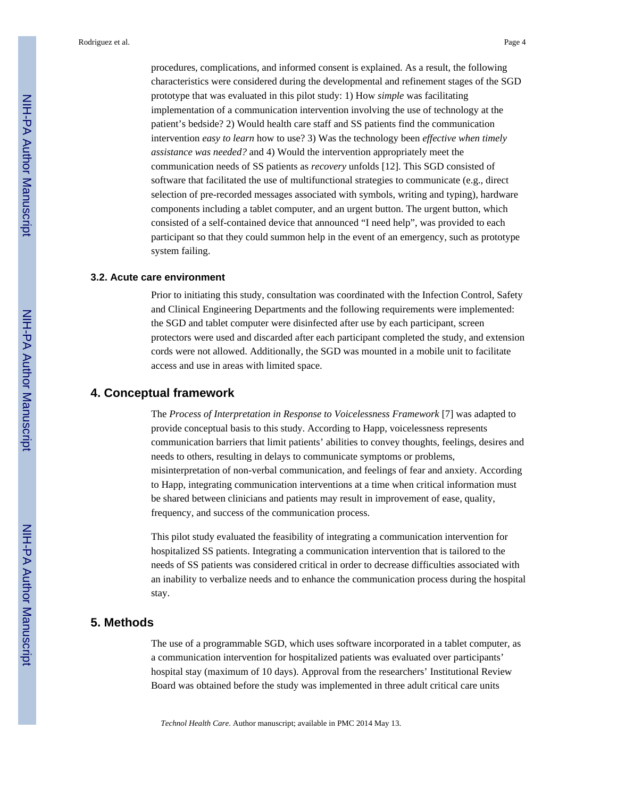procedures, complications, and informed consent is explained. As a result, the following characteristics were considered during the developmental and refinement stages of the SGD prototype that was evaluated in this pilot study: 1) How *simple* was facilitating implementation of a communication intervention involving the use of technology at the patient's bedside? 2) Would health care staff and SS patients find the communication intervention *easy to learn* how to use? 3) Was the technology been *effective when timely assistance was needed?* and 4) Would the intervention appropriately meet the communication needs of SS patients as *recovery* unfolds [12]. This SGD consisted of software that facilitated the use of multifunctional strategies to communicate (e.g., direct selection of pre-recorded messages associated with symbols, writing and typing), hardware components including a tablet computer, and an urgent button. The urgent button, which consisted of a self-contained device that announced "I need help", was provided to each participant so that they could summon help in the event of an emergency, such as prototype system failing.

#### **3.2. Acute care environment**

Prior to initiating this study, consultation was coordinated with the Infection Control, Safety and Clinical Engineering Departments and the following requirements were implemented: the SGD and tablet computer were disinfected after use by each participant, screen protectors were used and discarded after each participant completed the study, and extension cords were not allowed. Additionally, the SGD was mounted in a mobile unit to facilitate access and use in areas with limited space.

#### **4. Conceptual framework**

The *Process of Interpretation in Response to Voicelessness Framework* [7] was adapted to provide conceptual basis to this study. According to Happ, voicelessness represents communication barriers that limit patients' abilities to convey thoughts, feelings, desires and needs to others, resulting in delays to communicate symptoms or problems, misinterpretation of non-verbal communication, and feelings of fear and anxiety. According to Happ, integrating communication interventions at a time when critical information must be shared between clinicians and patients may result in improvement of ease, quality, frequency, and success of the communication process.

This pilot study evaluated the feasibility of integrating a communication intervention for hospitalized SS patients. Integrating a communication intervention that is tailored to the needs of SS patients was considered critical in order to decrease difficulties associated with an inability to verbalize needs and to enhance the communication process during the hospital stay.

### **5. Methods**

The use of a programmable SGD, which uses software incorporated in a tablet computer, as a communication intervention for hospitalized patients was evaluated over participants' hospital stay (maximum of 10 days). Approval from the researchers' Institutional Review Board was obtained before the study was implemented in three adult critical care units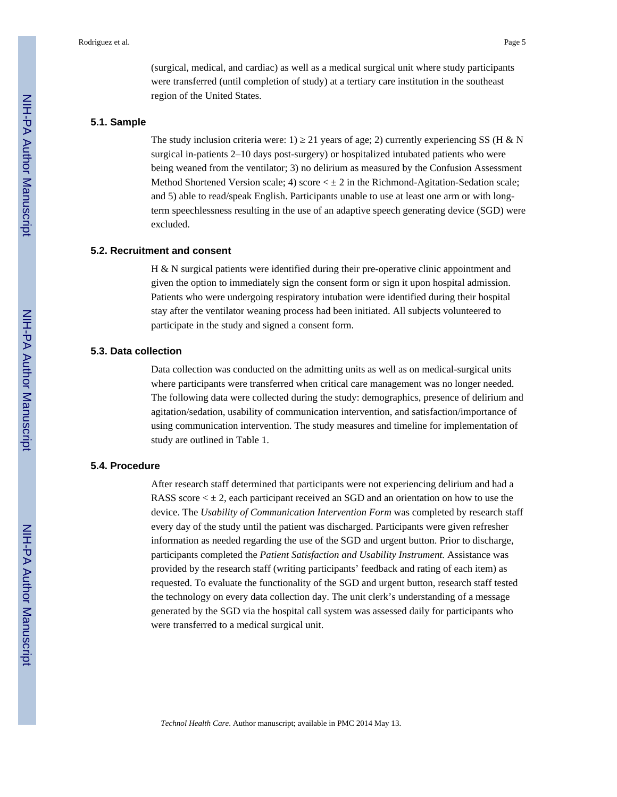(surgical, medical, and cardiac) as well as a medical surgical unit where study participants were transferred (until completion of study) at a tertiary care institution in the southeast region of the United States.

#### **5.1. Sample**

The study inclusion criteria were: 1) 21 years of age; 2) currently experiencing SS (H & N surgical in-patients 2–10 days post-surgery) or hospitalized intubated patients who were being weaned from the ventilator; 3) no delirium as measured by the Confusion Assessment Method Shortened Version scale; 4) score  $\lt \pm 2$  in the Richmond-Agitation-Sedation scale; and 5) able to read/speak English. Participants unable to use at least one arm or with longterm speechlessness resulting in the use of an adaptive speech generating device (SGD) were excluded.

#### **5.2. Recruitment and consent**

H & N surgical patients were identified during their pre-operative clinic appointment and given the option to immediately sign the consent form or sign it upon hospital admission. Patients who were undergoing respiratory intubation were identified during their hospital stay after the ventilator weaning process had been initiated. All subjects volunteered to participate in the study and signed a consent form.

#### **5.3. Data collection**

Data collection was conducted on the admitting units as well as on medical-surgical units where participants were transferred when critical care management was no longer needed. The following data were collected during the study: demographics, presence of delirium and agitation/sedation, usability of communication intervention, and satisfaction/importance of using communication intervention. The study measures and timeline for implementation of study are outlined in Table 1.

#### **5.4. Procedure**

After research staff determined that participants were not experiencing delirium and had a RASS score  $\lt$   $\pm$  2, each participant received an SGD and an orientation on how to use the device. The *Usability of Communication Intervention Form* was completed by research staff every day of the study until the patient was discharged. Participants were given refresher information as needed regarding the use of the SGD and urgent button. Prior to discharge, participants completed the *Patient Satisfaction and Usability Instrument.* Assistance was provided by the research staff (writing participants' feedback and rating of each item) as requested. To evaluate the functionality of the SGD and urgent button, research staff tested the technology on every data collection day. The unit clerk's understanding of a message generated by the SGD via the hospital call system was assessed daily for participants who were transferred to a medical surgical unit.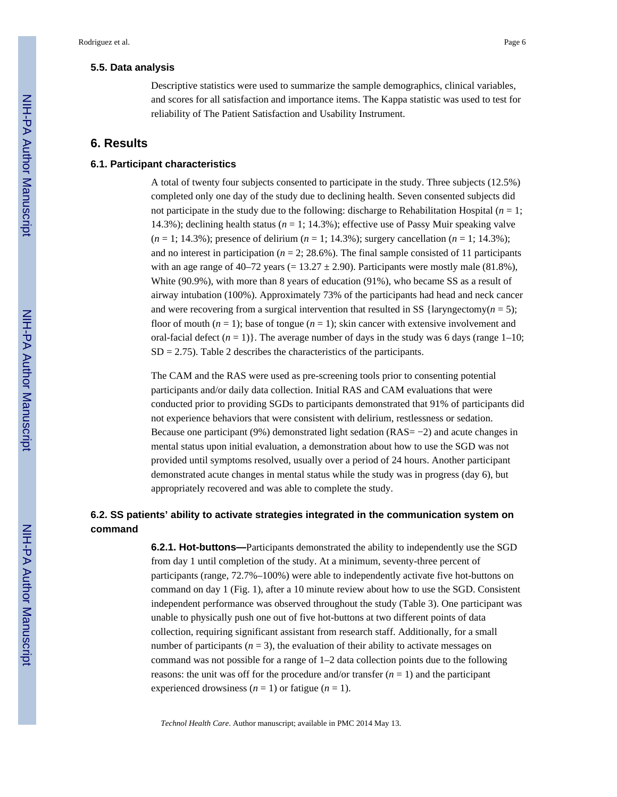#### **5.5. Data analysis**

Descriptive statistics were used to summarize the sample demographics, clinical variables, and scores for all satisfaction and importance items. The Kappa statistic was used to test for reliability of The Patient Satisfaction and Usability Instrument.

#### **6. Results**

#### **6.1. Participant characteristics**

A total of twenty four subjects consented to participate in the study. Three subjects (12.5%) completed only one day of the study due to declining health. Seven consented subjects did not participate in the study due to the following: discharge to Rehabilitation Hospital ( $n = 1$ ; 14.3%); declining health status ( $n = 1$ ; 14.3%); effective use of Passy Muir speaking valve (*n* = 1; 14.3%); presence of delirium (*n* = 1; 14.3%); surgery cancellation (*n* = 1; 14.3%); and no interest in participation ( $n = 2$ ; 28.6%). The final sample consisted of 11 participants with an age range of 40–72 years (=  $13.27 \pm 2.90$ ). Participants were mostly male (81.8%), White (90.9%), with more than 8 years of education (91%), who became SS as a result of airway intubation (100%). Approximately 73% of the participants had head and neck cancer and were recovering from a surgical intervention that resulted in SS {laryngectomy( $n = 5$ ); floor of mouth  $(n = 1)$ ; base of tongue  $(n = 1)$ ; skin cancer with extensive involvement and oral-facial defect  $(n = 1)$ . The average number of days in the study was 6 days (range 1–10;  $SD = 2.75$ ). Table 2 describes the characteristics of the participants.

The CAM and the RAS were used as pre-screening tools prior to consenting potential participants and/or daily data collection. Initial RAS and CAM evaluations that were conducted prior to providing SGDs to participants demonstrated that 91% of participants did not experience behaviors that were consistent with delirium, restlessness or sedation. Because one participant (9%) demonstrated light sedation (RAS= −2) and acute changes in mental status upon initial evaluation, a demonstration about how to use the SGD was not provided until symptoms resolved, usually over a period of 24 hours. Another participant demonstrated acute changes in mental status while the study was in progress (day 6), but appropriately recovered and was able to complete the study.

## **6.2. SS patients' ability to activate strategies integrated in the communication system on command**

**6.2.1. Hot-buttons—**Participants demonstrated the ability to independently use the SGD from day 1 until completion of the study. At a minimum, seventy-three percent of participants (range, 72.7%–100%) were able to independently activate five hot-buttons on command on day 1 (Fig. 1), after a 10 minute review about how to use the SGD. Consistent independent performance was observed throughout the study (Table 3). One participant was unable to physically push one out of five hot-buttons at two different points of data collection, requiring significant assistant from research staff. Additionally, for a small number of participants ( $n = 3$ ), the evaluation of their ability to activate messages on command was not possible for a range of 1–2 data collection points due to the following reasons: the unit was off for the procedure and/or transfer  $(n = 1)$  and the participant experienced drowsiness  $(n = 1)$  or fatigue  $(n = 1)$ .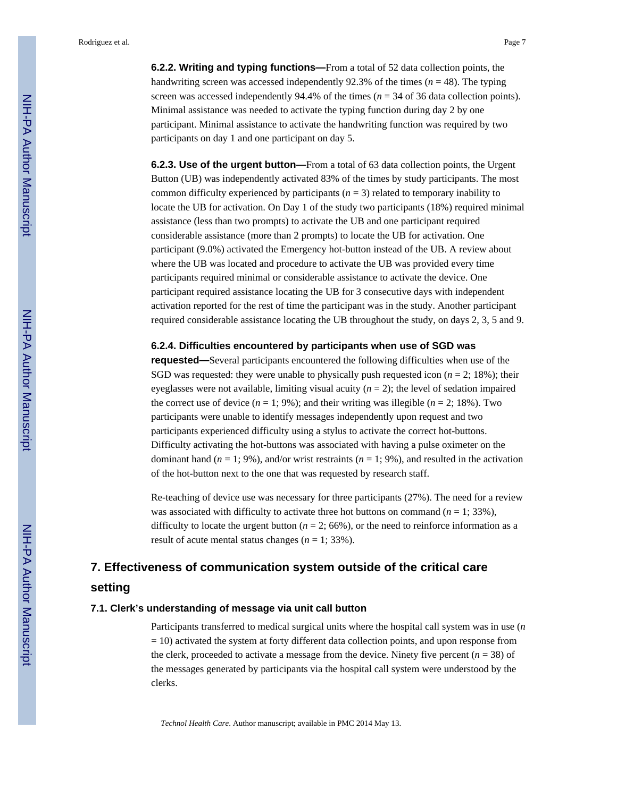Rodriguez et al. Page 7

**6.2.2. Writing and typing functions—**From a total of 52 data collection points, the handwriting screen was accessed independently  $92.3\%$  of the times ( $n = 48$ ). The typing screen was accessed independently  $94.4\%$  of the times ( $n = 34$  of 36 data collection points). Minimal assistance was needed to activate the typing function during day 2 by one participant. Minimal assistance to activate the handwriting function was required by two participants on day 1 and one participant on day 5.

**6.2.3. Use of the urgent button—**From a total of 63 data collection points, the Urgent Button (UB) was independently activated 83% of the times by study participants. The most common difficulty experienced by participants  $(n = 3)$  related to temporary inability to locate the UB for activation. On Day 1 of the study two participants (18%) required minimal assistance (less than two prompts) to activate the UB and one participant required considerable assistance (more than 2 prompts) to locate the UB for activation. One participant (9.0%) activated the Emergency hot-button instead of the UB. A review about where the UB was located and procedure to activate the UB was provided every time participants required minimal or considerable assistance to activate the device. One participant required assistance locating the UB for 3 consecutive days with independent activation reported for the rest of time the participant was in the study. Another participant required considerable assistance locating the UB throughout the study, on days 2, 3, 5 and 9.

#### **6.2.4. Difficulties encountered by participants when use of SGD was**

**requested—**Several participants encountered the following difficulties when use of the SGD was requested: they were unable to physically push requested icon  $(n = 2; 18%)$ ; their eyeglasses were not available, limiting visual acuity  $(n = 2)$ ; the level of sedation impaired the correct use of device  $(n = 1; 9\%)$ ; and their writing was illegible  $(n = 2; 18\%)$ . Two participants were unable to identify messages independently upon request and two participants experienced difficulty using a stylus to activate the correct hot-buttons. Difficulty activating the hot-buttons was associated with having a pulse oximeter on the dominant hand  $(n = 1, 9\%)$ , and/or wrist restraints  $(n = 1, 9\%)$ , and resulted in the activation of the hot-button next to the one that was requested by research staff.

Re-teaching of device use was necessary for three participants (27%). The need for a review was associated with difficulty to activate three hot buttons on command  $(n = 1; 33\%)$ , difficulty to locate the urgent button ( $n = 2$ ; 66%), or the need to reinforce information as a result of acute mental status changes  $(n = 1, 33\%)$ .

## **7. Effectiveness of communication system outside of the critical care setting**

#### **7.1. Clerk's understanding of message via unit call button**

Participants transferred to medical surgical units where the hospital call system was in use (*n*  $= 10$ ) activated the system at forty different data collection points, and upon response from the clerk, proceeded to activate a message from the device. Ninety five percent  $(n = 38)$  of the messages generated by participants via the hospital call system were understood by the clerks.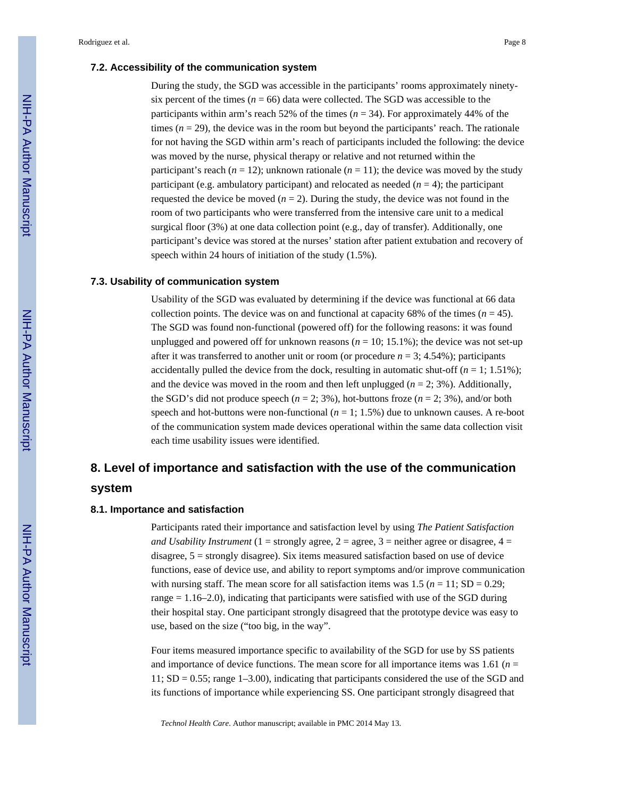#### **7.2. Accessibility of the communication system**

During the study, the SGD was accessible in the participants' rooms approximately ninetysix percent of the times ( $n = 66$ ) data were collected. The SGD was accessible to the participants within arm's reach 52% of the times  $(n = 34)$ . For approximately 44% of the times  $(n = 29)$ , the device was in the room but beyond the participants' reach. The rationale for not having the SGD within arm's reach of participants included the following: the device was moved by the nurse, physical therapy or relative and not returned within the participant's reach  $(n = 12)$ ; unknown rationale  $(n = 11)$ ; the device was moved by the study participant (e.g. ambulatory participant) and relocated as needed  $(n = 4)$ ; the participant requested the device be moved  $(n = 2)$ . During the study, the device was not found in the room of two participants who were transferred from the intensive care unit to a medical surgical floor (3%) at one data collection point (e.g., day of transfer). Additionally, one participant's device was stored at the nurses' station after patient extubation and recovery of speech within 24 hours of initiation of the study (1.5%).

#### **7.3. Usability of communication system**

Usability of the SGD was evaluated by determining if the device was functional at 66 data collection points. The device was on and functional at capacity 68% of the times  $(n = 45)$ . The SGD was found non-functional (powered off) for the following reasons: it was found unplugged and powered off for unknown reasons  $(n = 10; 15.1\%)$ ; the device was not set-up after it was transferred to another unit or room (or procedure  $n = 3$ ; 4.54%); participants accidentally pulled the device from the dock, resulting in automatic shut-off  $(n = 1; 1.51\%)$ ; and the device was moved in the room and then left unplugged  $(n = 2, 3\%)$ . Additionally, the SGD's did not produce speech  $(n = 2, 3\%)$ , hot-buttons froze  $(n = 2, 3\%)$ , and/or both speech and hot-buttons were non-functional  $(n = 1; 1.5\%)$  due to unknown causes. A re-boot of the communication system made devices operational within the same data collection visit each time usability issues were identified.

## **8. Level of importance and satisfaction with the use of the communication system**

## **8.1. Importance and satisfaction**

Participants rated their importance and satisfaction level by using *The Patient Satisfaction and Usability Instrument* (1 = strongly agree, 2 = agree, 3 = neither agree or disagree,  $4 =$ disagree, 5 = strongly disagree). Six items measured satisfaction based on use of device functions, ease of device use, and ability to report symptoms and/or improve communication with nursing staff. The mean score for all satisfaction items was  $1.5$  ( $n = 11$ ; SD = 0.29; range = 1.16–2.0), indicating that participants were satisfied with use of the SGD during their hospital stay. One participant strongly disagreed that the prototype device was easy to use, based on the size ("too big, in the way".

Four items measured importance specific to availability of the SGD for use by SS patients and importance of device functions. The mean score for all importance items was 1.61 ( $n =$ 11; SD = 0.55; range 1–3.00), indicating that participants considered the use of the SGD and its functions of importance while experiencing SS. One participant strongly disagreed that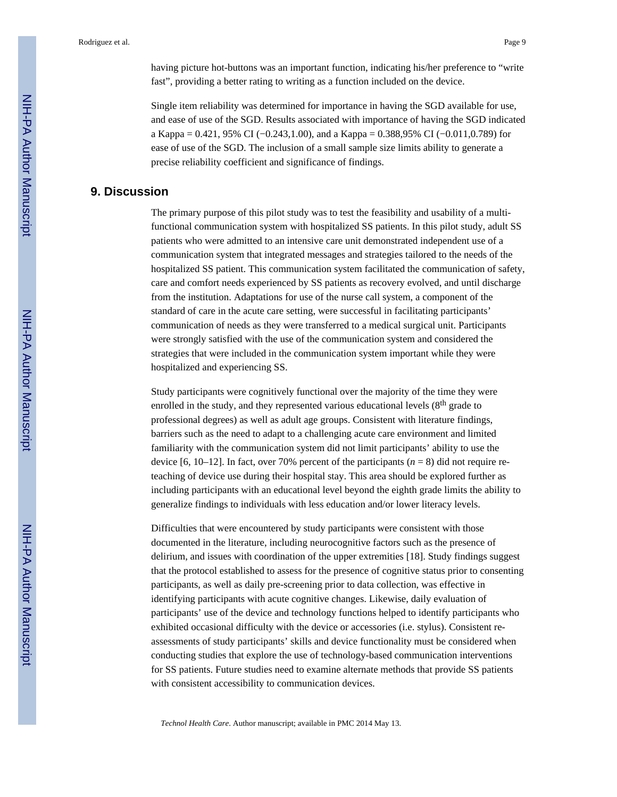having picture hot-buttons was an important function, indicating his/her preference to "write fast", providing a better rating to writing as a function included on the device.

Single item reliability was determined for importance in having the SGD available for use, and ease of use of the SGD. Results associated with importance of having the SGD indicated a Kappa = 0.421, 95% CI (−0.243,1.00), and a Kappa = 0.388,95% CI (−0.011,0.789) for ease of use of the SGD. The inclusion of a small sample size limits ability to generate a precise reliability coefficient and significance of findings.

#### **9. Discussion**

The primary purpose of this pilot study was to test the feasibility and usability of a multifunctional communication system with hospitalized SS patients. In this pilot study, adult SS patients who were admitted to an intensive care unit demonstrated independent use of a communication system that integrated messages and strategies tailored to the needs of the hospitalized SS patient. This communication system facilitated the communication of safety, care and comfort needs experienced by SS patients as recovery evolved, and until discharge from the institution. Adaptations for use of the nurse call system, a component of the standard of care in the acute care setting, were successful in facilitating participants' communication of needs as they were transferred to a medical surgical unit. Participants were strongly satisfied with the use of the communication system and considered the strategies that were included in the communication system important while they were hospitalized and experiencing SS.

Study participants were cognitively functional over the majority of the time they were enrolled in the study, and they represented various educational levels  $(8<sup>th</sup> \text{ grade to})$ professional degrees) as well as adult age groups. Consistent with literature findings, barriers such as the need to adapt to a challenging acute care environment and limited familiarity with the communication system did not limit participants' ability to use the device  $[6, 10-12]$ . In fact, over 70% percent of the participants  $(n = 8)$  did not require reteaching of device use during their hospital stay. This area should be explored further as including participants with an educational level beyond the eighth grade limits the ability to generalize findings to individuals with less education and/or lower literacy levels.

Difficulties that were encountered by study participants were consistent with those documented in the literature, including neurocognitive factors such as the presence of delirium, and issues with coordination of the upper extremities [18]. Study findings suggest that the protocol established to assess for the presence of cognitive status prior to consenting participants, as well as daily pre-screening prior to data collection, was effective in identifying participants with acute cognitive changes. Likewise, daily evaluation of participants' use of the device and technology functions helped to identify participants who exhibited occasional difficulty with the device or accessories (i.e. stylus). Consistent reassessments of study participants' skills and device functionality must be considered when conducting studies that explore the use of technology-based communication interventions for SS patients. Future studies need to examine alternate methods that provide SS patients with consistent accessibility to communication devices.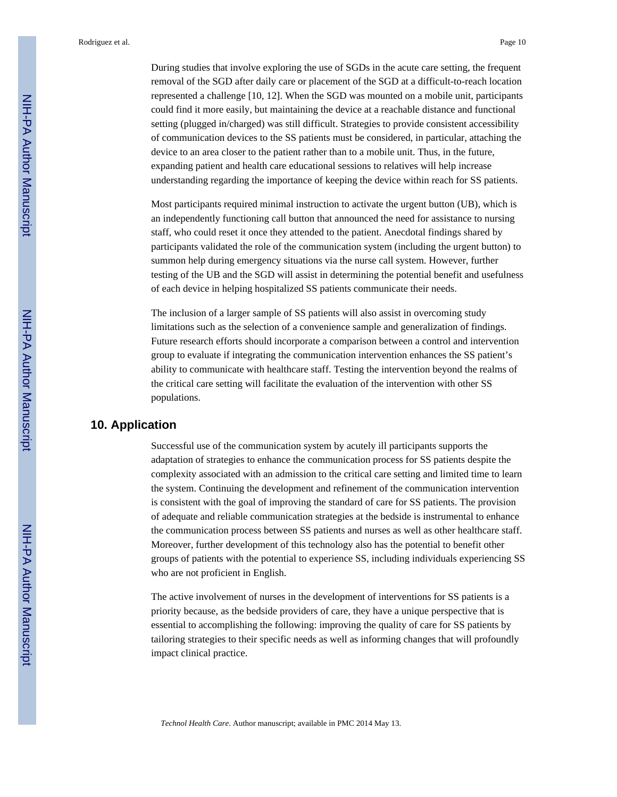During studies that involve exploring the use of SGDs in the acute care setting, the frequent removal of the SGD after daily care or placement of the SGD at a difficult-to-reach location represented a challenge [10, 12]. When the SGD was mounted on a mobile unit, participants could find it more easily, but maintaining the device at a reachable distance and functional setting (plugged in/charged) was still difficult. Strategies to provide consistent accessibility of communication devices to the SS patients must be considered, in particular, attaching the device to an area closer to the patient rather than to a mobile unit. Thus, in the future, expanding patient and health care educational sessions to relatives will help increase understanding regarding the importance of keeping the device within reach for SS patients.

Most participants required minimal instruction to activate the urgent button (UB), which is an independently functioning call button that announced the need for assistance to nursing staff, who could reset it once they attended to the patient. Anecdotal findings shared by participants validated the role of the communication system (including the urgent button) to summon help during emergency situations via the nurse call system. However, further testing of the UB and the SGD will assist in determining the potential benefit and usefulness of each device in helping hospitalized SS patients communicate their needs.

The inclusion of a larger sample of SS patients will also assist in overcoming study limitations such as the selection of a convenience sample and generalization of findings. Future research efforts should incorporate a comparison between a control and intervention group to evaluate if integrating the communication intervention enhances the SS patient's ability to communicate with healthcare staff. Testing the intervention beyond the realms of the critical care setting will facilitate the evaluation of the intervention with other SS populations.

#### **10. Application**

Successful use of the communication system by acutely ill participants supports the adaptation of strategies to enhance the communication process for SS patients despite the complexity associated with an admission to the critical care setting and limited time to learn the system. Continuing the development and refinement of the communication intervention is consistent with the goal of improving the standard of care for SS patients. The provision of adequate and reliable communication strategies at the bedside is instrumental to enhance the communication process between SS patients and nurses as well as other healthcare staff. Moreover, further development of this technology also has the potential to benefit other groups of patients with the potential to experience SS, including individuals experiencing SS who are not proficient in English.

The active involvement of nurses in the development of interventions for SS patients is a priority because, as the bedside providers of care, they have a unique perspective that is essential to accomplishing the following: improving the quality of care for SS patients by tailoring strategies to their specific needs as well as informing changes that will profoundly impact clinical practice.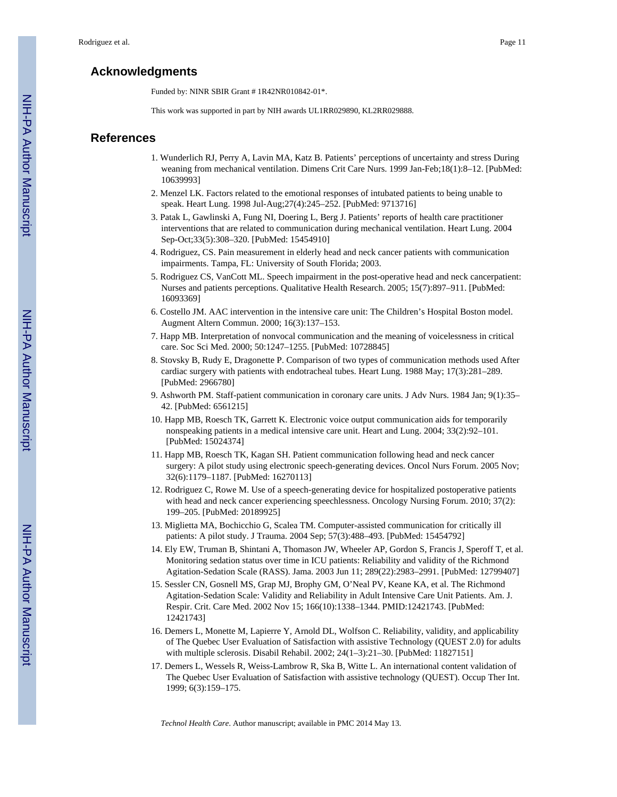#### **Acknowledgments**

Funded by: NINR SBIR Grant # 1R42NR010842-01\*.

This work was supported in part by NIH awards UL1RR029890, KL2RR029888.

#### **References**

- 1. Wunderlich RJ, Perry A, Lavin MA, Katz B. Patients' perceptions of uncertainty and stress During weaning from mechanical ventilation. Dimens Crit Care Nurs. 1999 Jan-Feb;18(1):8–12. [PubMed: 10639993]
- 2. Menzel LK. Factors related to the emotional responses of intubated patients to being unable to speak. Heart Lung. 1998 Jul-Aug;27(4):245–252. [PubMed: 9713716]
- 3. Patak L, Gawlinski A, Fung NI, Doering L, Berg J. Patients' reports of health care practitioner interventions that are related to communication during mechanical ventilation. Heart Lung. 2004 Sep-Oct;33(5):308–320. [PubMed: 15454910]
- 4. Rodriguez, CS. Pain measurement in elderly head and neck cancer patients with communication impairments. Tampa, FL: University of South Florida; 2003.
- 5. Rodriguez CS, VanCott ML. Speech impairment in the post-operative head and neck cancerpatient: Nurses and patients perceptions. Qualitative Health Research. 2005; 15(7):897–911. [PubMed: 16093369]
- 6. Costello JM. AAC intervention in the intensive care unit: The Children's Hospital Boston model. Augment Altern Commun. 2000; 16(3):137–153.
- 7. Happ MB. Interpretation of nonvocal communication and the meaning of voicelessness in critical care. Soc Sci Med. 2000; 50:1247–1255. [PubMed: 10728845]
- 8. Stovsky B, Rudy E, Dragonette P. Comparison of two types of communication methods used After cardiac surgery with patients with endotracheal tubes. Heart Lung. 1988 May; 17(3):281–289. [PubMed: 2966780]
- 9. Ashworth PM. Staff-patient communication in coronary care units. J Adv Nurs. 1984 Jan; 9(1):35– 42. [PubMed: 6561215]
- 10. Happ MB, Roesch TK, Garrett K. Electronic voice output communication aids for temporarily nonspeaking patients in a medical intensive care unit. Heart and Lung. 2004; 33(2):92–101. [PubMed: 15024374]
- 11. Happ MB, Roesch TK, Kagan SH. Patient communication following head and neck cancer surgery: A pilot study using electronic speech-generating devices. Oncol Nurs Forum. 2005 Nov; 32(6):1179–1187. [PubMed: 16270113]
- 12. Rodriguez C, Rowe M. Use of a speech-generating device for hospitalized postoperative patients with head and neck cancer experiencing speechlessness. Oncology Nursing Forum. 2010; 37(2): 199–205. [PubMed: 20189925]
- 13. Miglietta MA, Bochicchio G, Scalea TM. Computer-assisted communication for critically ill patients: A pilot study. J Trauma. 2004 Sep; 57(3):488–493. [PubMed: 15454792]
- 14. Ely EW, Truman B, Shintani A, Thomason JW, Wheeler AP, Gordon S, Francis J, Speroff T, et al. Monitoring sedation status over time in ICU patients: Reliability and validity of the Richmond Agitation-Sedation Scale (RASS). Jama. 2003 Jun 11; 289(22):2983–2991. [PubMed: 12799407]
- 15. Sessler CN, Gosnell MS, Grap MJ, Brophy GM, O'Neal PV, Keane KA, et al. The Richmond Agitation-Sedation Scale: Validity and Reliability in Adult Intensive Care Unit Patients. Am. J. Respir. Crit. Care Med. 2002 Nov 15; 166(10):1338–1344. PMID:12421743. [PubMed: 12421743]
- 16. Demers L, Monette M, Lapierre Y, Arnold DL, Wolfson C. Reliability, validity, and applicability of The Quebec User Evaluation of Satisfaction with assistive Technology (QUEST 2.0) for adults with multiple sclerosis. Disabil Rehabil. 2002; 24(1–3):21–30. [PubMed: 11827151]
- 17. Demers L, Wessels R, Weiss-Lambrow R, Ska B, Witte L. An international content validation of The Quebec User Evaluation of Satisfaction with assistive technology (QUEST). Occup Ther Int. 1999; 6(3):159–175.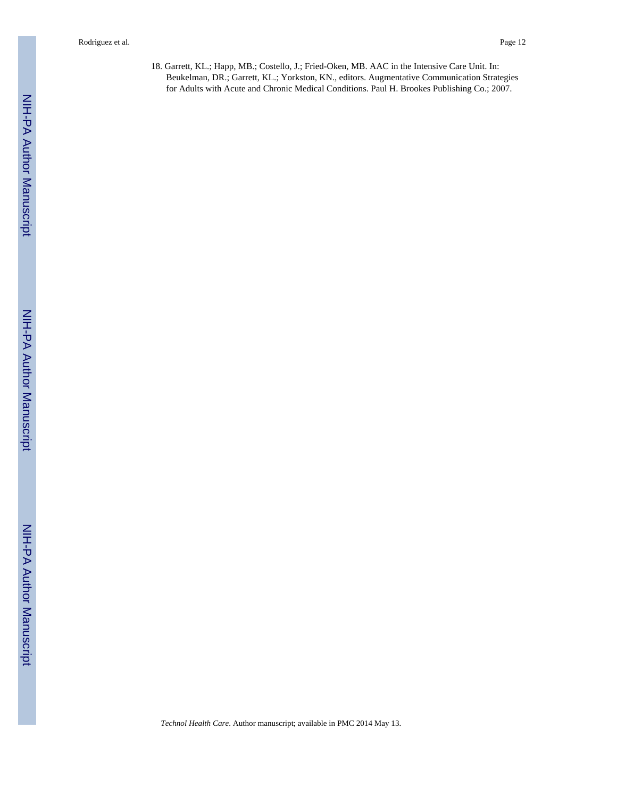18. Garrett, KL.; Happ, MB.; Costello, J.; Fried-Oken, MB. AAC in the Intensive Care Unit. In: Beukelman, DR.; Garrett, KL.; Yorkston, KN., editors. Augmentative Communication Strategies for Adults with Acute and Chronic Medical Conditions. Paul H. Brookes Publishing Co.; 2007.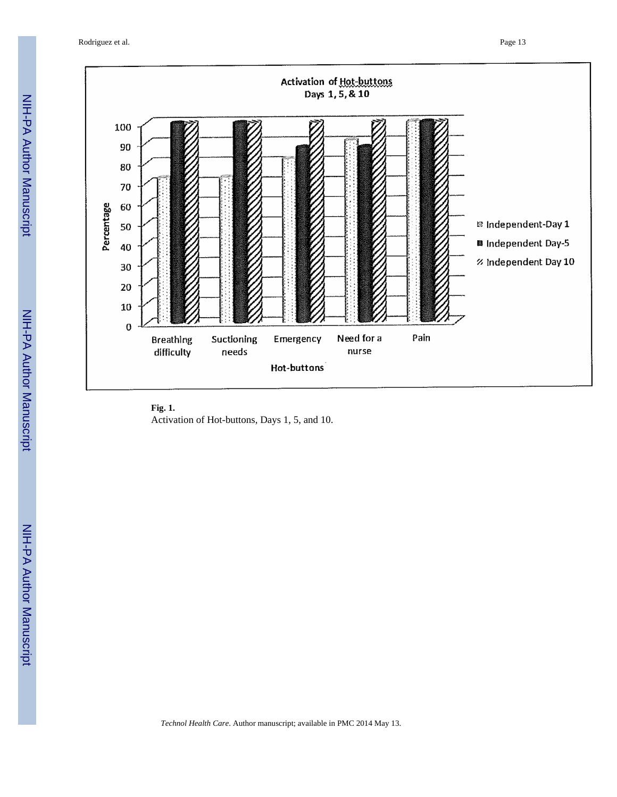Rodriguez et al. Page 13



**Fig. 1.** Activation of Hot-buttons, Days 1, 5, and 10.

NIH-PA Author Manuscript

NIH-PA Author Manuscript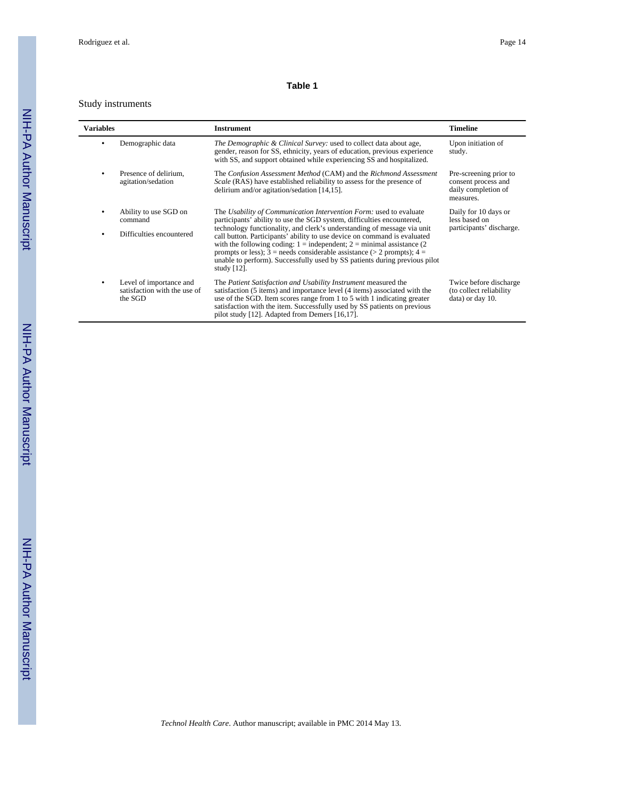#### **Table 1**

#### Study instruments

 $\overline{\phantom{0}}$ 

| Variables |                                                                    | <b>Instrument</b>                                                                                                                                                                                                                                                                                                                                                                                                                                                                                                                                               | <b>Timeline</b>                                                                   |
|-----------|--------------------------------------------------------------------|-----------------------------------------------------------------------------------------------------------------------------------------------------------------------------------------------------------------------------------------------------------------------------------------------------------------------------------------------------------------------------------------------------------------------------------------------------------------------------------------------------------------------------------------------------------------|-----------------------------------------------------------------------------------|
|           | Demographic data                                                   | The Demographic & Clinical Survey: used to collect data about age,<br>gender, reason for SS, ethnicity, years of education, previous experience<br>with SS, and support obtained while experiencing SS and hospitalized.                                                                                                                                                                                                                                                                                                                                        | Upon initiation of<br>study.                                                      |
|           | Presence of delirium.<br>agitation/sedation                        | The Confusion Assessment Method (CAM) and the Richmond Assessment<br>Scale (RAS) have established reliability to assess for the presence of<br>delirium and/or agitation/sedation [14,15].                                                                                                                                                                                                                                                                                                                                                                      | Pre-screening prior to<br>consent process and<br>daily completion of<br>measures. |
|           | Ability to use SGD on<br>command<br>Difficulties encountered       | The Usability of Communication Intervention Form: used to evaluate<br>participants' ability to use the SGD system, difficulties encountered,<br>technology functionality, and clerk's understanding of message via unit<br>call button. Participants' ability to use device on command is evaluated<br>with the following coding: $1 =$ independent; $2 =$ minimal assistance (2)<br>prompts or less); $3 =$ needs considerable assistance (> 2 prompts); $4 =$<br>unable to perform). Successfully used by SS patients during previous pilot<br>study $[12]$ . | Daily for 10 days or<br>less based on<br>participants' discharge.                 |
|           | Level of importance and<br>satisfaction with the use of<br>the SGD | The Patient Satisfaction and Usability Instrument measured the<br>satisfaction (5 items) and importance level (4 items) associated with the<br>use of the SGD. Item scores range from 1 to 5 with 1 indicating greater<br>satisfaction with the item. Successfully used by SS patients on previous<br>pilot study [12]. Adapted from Demers [16,17].                                                                                                                                                                                                            | Twice before discharge<br>(to collect reliability<br>data) or day 10.             |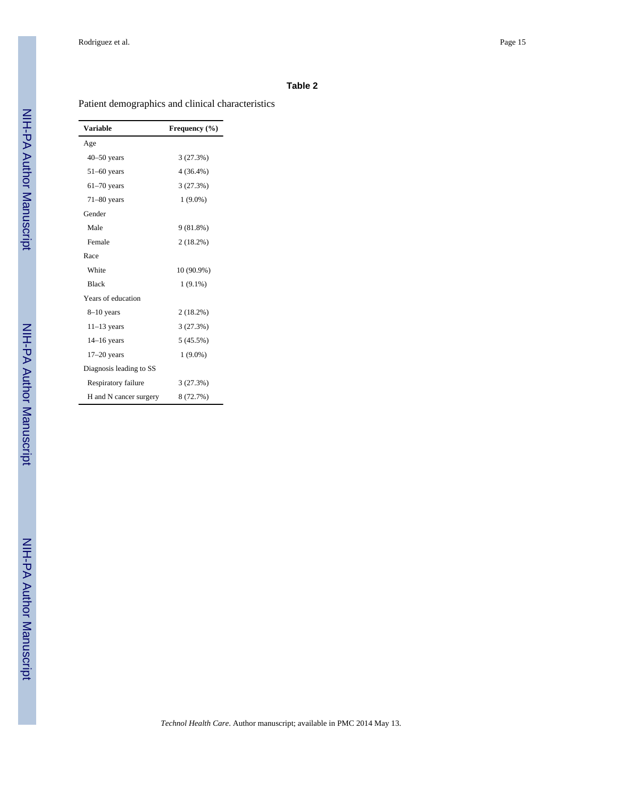#### **Table 2**

Patient demographics and clinical characteristics

| Variable                | Frequency (%) |
|-------------------------|---------------|
| Age                     |               |
| $40 - 50$ years         | 3(27.3%)      |
| $51-60$ years           | $4(36.4\%)$   |
| $61-70$ years           | 3(27.3%)      |
| $71-80$ years           | $1(9.0\%)$    |
| Gender                  |               |
| Male                    | 9(81.8%)      |
| Female                  | 2(18.2%)      |
| Race                    |               |
| White                   | 10 (90.9%)    |
| <b>Black</b>            | $1(9.1\%)$    |
| Years of education      |               |
| $8-10$ years            | 2(18.2%)      |
| $11-13$ years           | 3(27.3%)      |
| $14-16$ years           | 5 (45.5%)     |
| $17-20$ years           | $1(9.0\%)$    |
| Diagnosis leading to SS |               |
| Respiratory failure     | 3(27.3%)      |
| H and N cancer surgery  | 8 (72.7%)     |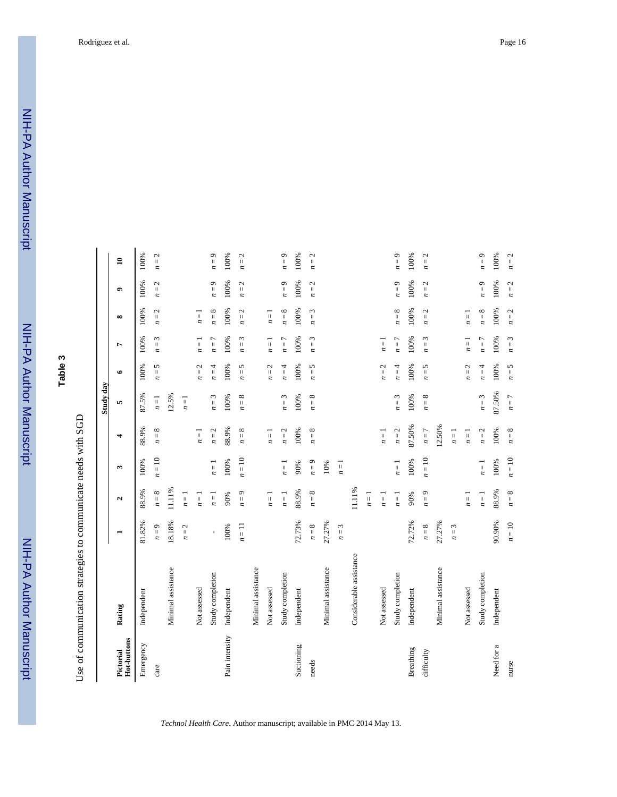|                          |                         |              |                      |          |                                                                       | Study day                      |                                    |                                               |          |                     |              |
|--------------------------|-------------------------|--------------|----------------------|----------|-----------------------------------------------------------------------|--------------------------------|------------------------------------|-----------------------------------------------|----------|---------------------|--------------|
| Hot-buttons<br>Pictorial | Rating                  |              | $\mathbf{\hat{z}}$   | ω        | 4                                                                     | 5                              | $\bullet$                          | L                                             | $\infty$ | $\bullet$           | $\mathbf{a}$ |
| Emergency                | Independent             | 81.82%       | 88.9%                | 100%     | 88.9%                                                                 | 87.5%                          | 100%                               | 100%                                          | 100%     | 100%                | 100%         |
| care                     |                         | $n=9$        | $n=8$                | $n = 10$ | $n=8$                                                                 | $n = 1$                        | $n=5$                              | 3<br>$\vert\vert$<br>$\overline{\phantom{a}}$ | $n=2$    | $n=2$               | $n=2$        |
|                          | Minimal assistance      | 18.18%       | 11.11%               |          |                                                                       | 12.5%                          |                                    |                                               |          |                     |              |
|                          |                         | $n=2$        | $n=1$                |          |                                                                       | $n = 1$                        |                                    |                                               |          |                     |              |
|                          | Not assessed            |              | $\boldsymbol{n} = 1$ |          | $n=1$                                                                 |                                | 2<br>$n =$                         | $\overline{1}$<br>$\overline{\phantom{a}}$    | $n =$    |                     |              |
|                          | Study completion        | $\mathbf{I}$ | $n = 1$              | $n=1$    | 2<br>$n = 1$                                                          | ε<br>$n =$                     | 4<br>$n =$                         | Γ<br>$\vert\vert$<br>n                        | $n=8$    | $n=9$               | $n=9$        |
| Pain intensity           | Independent             | 100%         | 90%                  | 100%     | 88.9%                                                                 | 100%                           | 100%                               | 100%                                          | 100%     | 100%                | 100%         |
|                          |                         | $n = 11$     | $n=9$                | $n = 10$ | ${}^{\circ}$<br>$n =$                                                 | $n=8$                          | 5<br>$\boldsymbol{n} =$            | $\omega$<br>$\boldsymbol{n} =$                | $n=2$    | $n=2$               | $n=2$        |
|                          | Minimal assistance      |              |                      |          |                                                                       |                                |                                    |                                               |          |                     |              |
|                          | Not assessed            |              | $n=1$                |          | $n=1$                                                                 |                                | 2<br>$\boldsymbol{n} =$            | $n=1$                                         | $n=1$    |                     |              |
|                          | Study completion        |              | $n=1$                | $n=1$    | N<br>$\boldsymbol{n}$ =                                               | ω<br>$n =$                     | $n = 4$                            | $n=7$                                         | $n=8$    | $n=9$               | $n=9$        |
| Suctioning               | Independent             | 72.73%       | 88.9%                | 90%      | 100%                                                                  | 100%                           | 100%                               | 100%                                          | 100%     | 100%                | 100%         |
| needs                    |                         | $n=8$        | $n=8$                | $n=9$    | ${}^{\circ}$<br>$\ensuremath{\mathsf{H}}$<br>$\overline{\phantom{a}}$ | ${}^{\circ}$<br>$\overline{n}$ | 5<br>$\overline{n}$ =              | $\omega$<br>$\overline{n}$ = .                | $n=3$    | 2<br>$\mathbf{n} =$ | $n=2$        |
|                          | Minimal assistance      | 27.27%       |                      | $10\%$   |                                                                       |                                |                                    |                                               |          |                     |              |
|                          |                         | $n=3$        |                      | $n = 1$  |                                                                       |                                |                                    |                                               |          |                     |              |
|                          | Considerable assistance |              | 11.11%               |          |                                                                       |                                |                                    |                                               |          |                     |              |
|                          |                         |              | $n=1$                |          |                                                                       |                                |                                    |                                               |          |                     |              |
|                          | Not assessed            |              | $\overline{n}=1$     |          | $n=1$                                                                 |                                | 2<br>$n =$                         | $n = 1$                                       |          |                     |              |
|                          | Study completion        |              | $n=1$                | $n=1$    | $n=2$                                                                 | 3<br>$\boldsymbol{n} =$        | 4<br>$n =$                         | $n=7$                                         | $n=8$    | $n=9$               | $n=9$        |
| Breathing                | Independent             | 72.72%       | 90%                  | 100%     | 87.50%                                                                | 100%                           | 100%                               | 100%                                          | 100%     | 100%                | 100%         |
| difficulty               |                         | $n=8$        | $n=9$                | $n = 10$ | $n=7$                                                                 | $n=8$                          | 5<br>$\overline{n}$ =              | 3<br>$\boldsymbol{n} =$                       | $n=2$    | $n=2$               | $n=2$        |
|                          | Minimal assistance      | 27.27%       |                      |          | 12.50%                                                                |                                |                                    |                                               |          |                     |              |
|                          |                         | $n=3$        |                      |          | $n=1$                                                                 |                                |                                    |                                               |          |                     |              |
|                          | Not assessed            |              | $n=1$                |          | $\overline{1}$<br>$\overline{z}$                                      |                                | $\overline{c}$<br>$\overline{n}$ = | $\overline{\mathbf{u}}$<br>n                  | $n =$    |                     |              |
|                          | Study completion        |              | $n=1$                | $n=1$    | $n=2$                                                                 | $n=3$                          | 4<br>$\overline{n}$                | $n=7$                                         | $n=8$    | $n=9$               | $n=9$        |
| Need for a               | Independent             | 90.90%       | 88.9%                | 100%     | 100%                                                                  | 87.50%                         | 100%                               | 100%                                          | 100%     | 100%                | 100%         |
| nurse                    |                         | $n = 10$     | $n=8$                | $n = 10$ | $n=8$                                                                 | $n=7$                          | $n=5$                              | $n=3$                                         | $n=2$    | $n=2$               | $n=2$        |